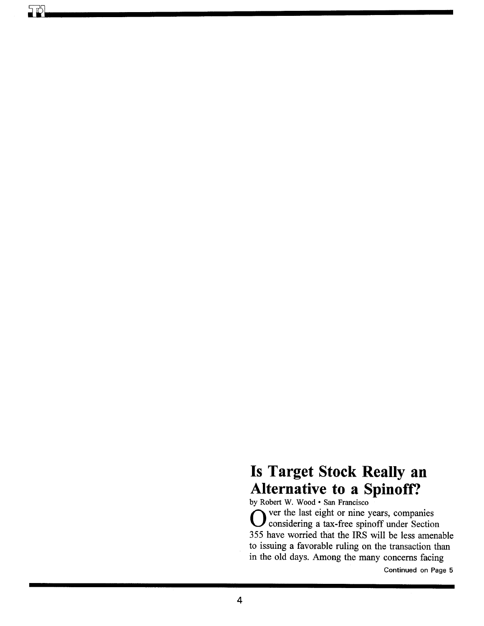## **Is Target Stock Really an Alternative to a Spinoff?**

by Robert W. Wood · San Francisco Over the last eight or nine years, companies considering a tax-free spinoff under Section 355 have worried that the IRS will be less amenable to issuing a favorable ruling on the transaction than in the old days. Among the many concerns facing

Continued on Page 5